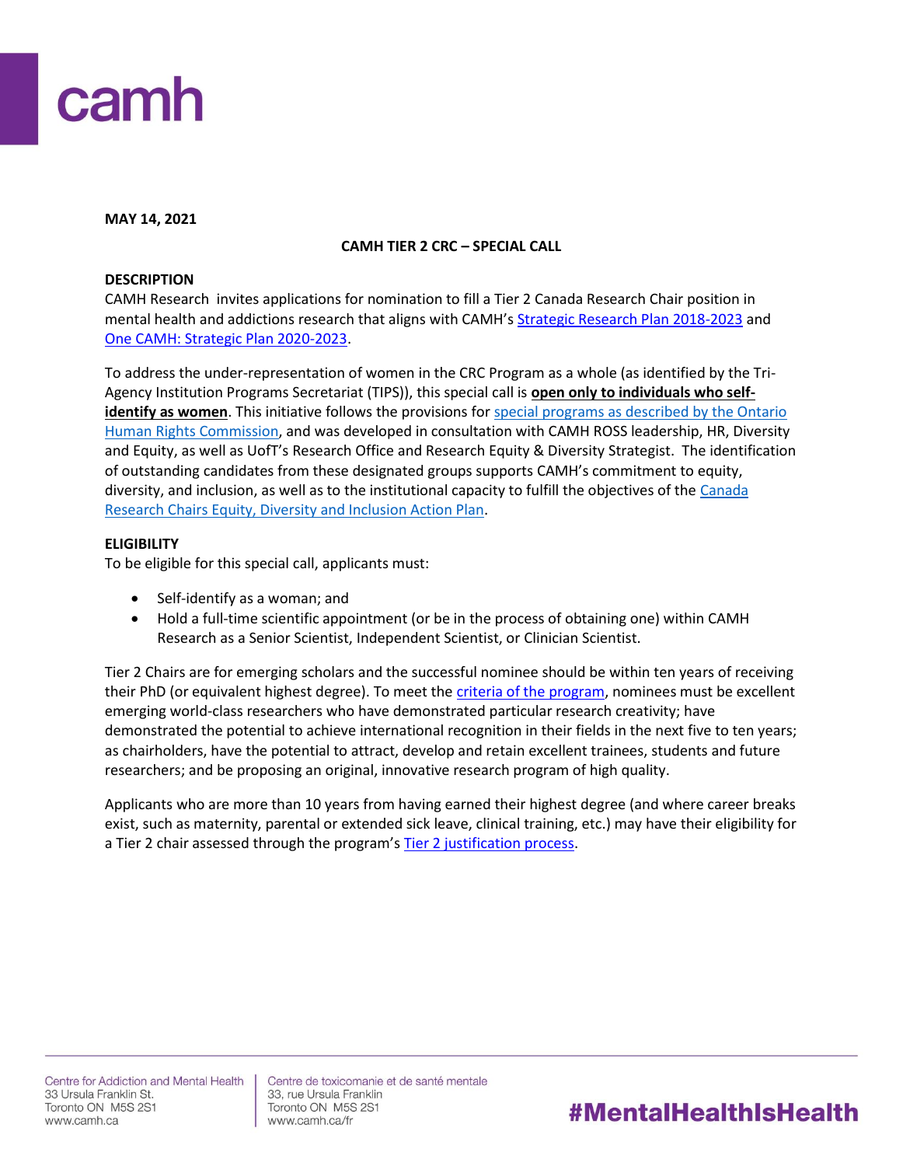

**MAY 14, 2021**

# **CAMH TIER 2 CRC – SPECIAL CALL**

## **DESCRIPTION**

CAMH Research invites applications for nomination to fill a Tier 2 Canada Research Chair position in mental health and addictions research that aligns with CAMH's [Strategic Research Plan 2018-2023](http://www.camhx.ca/Publications/CAMHResearchPlan/index.html) and [One CAMH: Strategic Plan 2020-2023.](https://www.camh.ca/en/driving-change/about-camh/one-camh-strategic-plan-2020-2023)

To address the under-representation of women in the CRC Program as a whole (as identified by the Tri-Agency Institution Programs Secretariat (TIPS)), this special call is **open only to individuals who selfidentify as women**. This initiative follows the provisions for [special programs as described by the Ontario](http://www.ohrc.on.ca/en/your-guide-special-programs-and-human-rights-code)  [Human Rights Commission,](http://www.ohrc.on.ca/en/your-guide-special-programs-and-human-rights-code) and was developed in consultation with CAMH ROSS leadership, HR, Diversity and Equity, as well as UofT's Research Office and Research Equity & Diversity Strategist. The identification of outstanding candidates from these designated groups supports CAMH's commitment to equity, diversity, and inclusion, as well as to the institutional capacity to fulfill the objectives of the Canada [Research Chairs Equity, Diversity and Inclusion Action Plan.](https://www.camh.ca/en/science-and-research/science-and-research-staff-directory/research-chairs)

# **ELIGIBILITY**

To be eligible for this special call, applicants must:

- Self-identify as a woman; and
- Hold a full-time scientific appointment (or be in the process of obtaining one) within CAMH Research as a Senior Scientist, Independent Scientist, or Clinician Scientist.

Tier 2 Chairs are for emerging scholars and the successful nominee should be within ten years of receiving their PhD (or equivalent highest degree). To meet th[e criteria of the program,](http://www.chairs-chaires.gc.ca/program-programme/nomination-mise_en_candidature-eng.aspx#s7) nominees must be excellent emerging world-class researchers who have demonstrated particular research creativity; have demonstrated the potential to achieve international recognition in their fields in the next five to ten years; as chairholders, have the potential to attract, develop and retain excellent trainees, students and future researchers; and be proposing an original, innovative research program of high quality.

Applicants who are more than 10 years from having earned their highest degree (and where career breaks exist, such as maternity, parental or extended sick leave, clinical training, etc.) may have their eligibility for a Tier 2 chair assessed through the program's [Tier 2 justification process.](http://www.chairs-chaires.gc.ca/program-programme/nomination-mise_en_candidature-eng.aspx#s3)

Centre de toxicomanie et de santé mentale 33, rue Ursula Franklin Toronto ON M5S 2S1 www.camh.ca/fr

# #MentalHealthIsHealth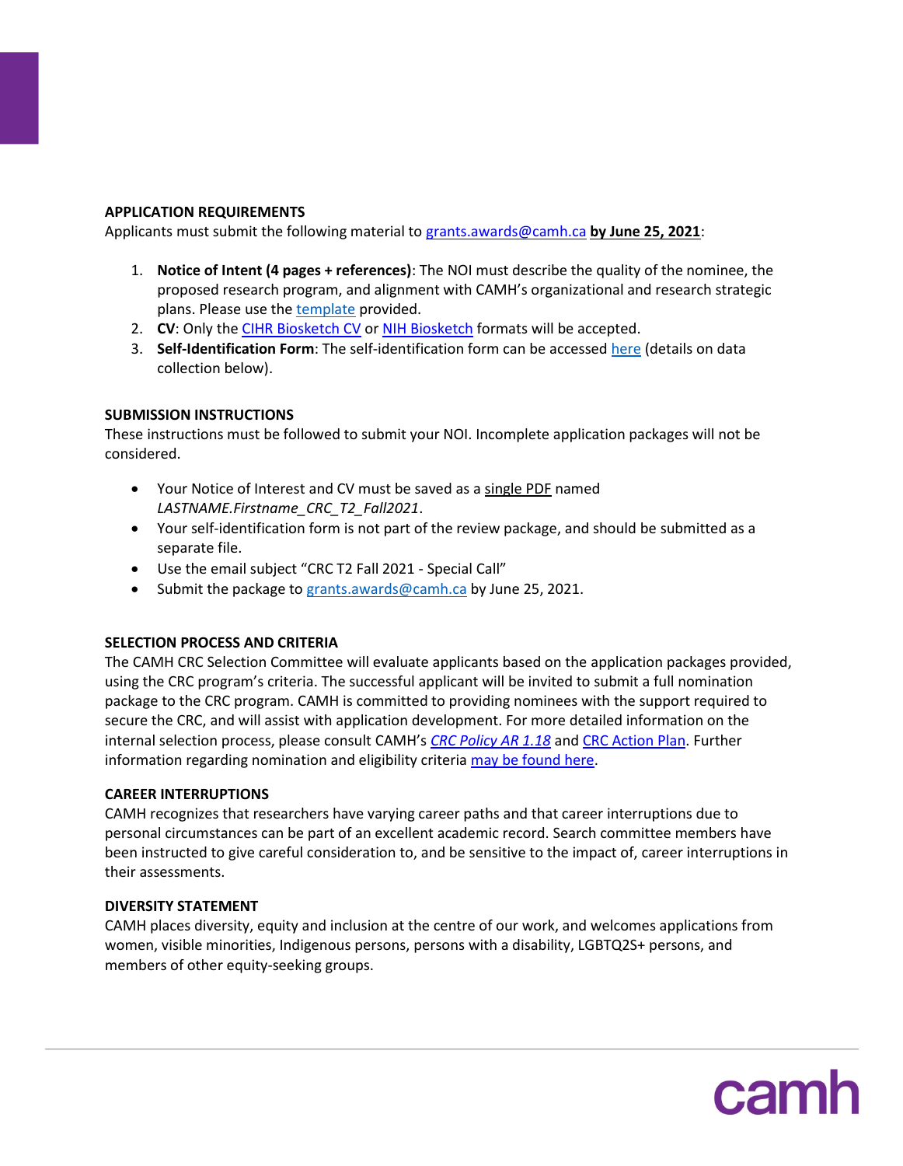## **APPLICATION REQUIREMENTS**

Applicants must submit the following material t[o grants.awards@camh.ca](mailto:grants.awards@camh.ca?subject=CRC%20T2%20Fall%202021%20-%20Special%20Call) **by June 25, 2021**:

- 1. **Notice of Intent (4 pages + references)**: The NOI must describe the quality of the nominee, the proposed research program, and alignment with CAMH's organizational and research strategic plans. Please use th[e template](http://ishare.camh.ca/sites/RSO/services/grants/Documents/Grants%20-%20CRC%20T2_NOI%20Template_April2021_FINAL.docx) provided.
- 2. **CV**: Only the [CIHR Biosketch CV](https://cihr-irsc.gc.ca/e/48437.html) o[r NIH Biosketch](https://grants.nih.gov/grants/forms/biosketch.htm) formats will be accepted.
- 3. **Self-Identification Form**: The self-identification form can be accessed [here](http://ishare.camh.ca/sites/RSO/services/grants/Documents/Grants%20-%20CRC_Self-Identification%20Form_Fall2021_FINAL.docx) (details on data collection below).

## **SUBMISSION INSTRUCTIONS**

These instructions must be followed to submit your NOI. Incomplete application packages will not be considered.

- Your Notice of Interest and CV must be saved as a single PDF named *LASTNAME.Firstname\_CRC\_T2\_Fall2021*.
- Your self-identification form is not part of the review package, and should be submitted as a separate file.
- Use the email subject "CRC T2 Fall 2021 Special Call"
- Submit the package t[o grants.awards@camh.ca](mailto:grants.awards@camh.ca?subject=CRC%20T2%20Fall%202021%20-%20Special%20Call) by June 25, 2021.

# **SELECTION PROCESS AND CRITERIA**

The CAMH CRC Selection Committee will evaluate applicants based on the application packages provided, using the CRC program's criteria. The successful applicant will be invited to submit a full nomination package to the CRC program. CAMH is committed to providing nominees with the support required to secure the CRC, and will assist with application development. For more detailed information on the internal selection process, please consult CAMH's *[CRC Policy AR 1.18](http://ishare.camh.ca/sites/RSO/policies-sops/Documents/Policies/AR-1.18-Canada-Research-Chair.pdf)* and [CRC Action Plan.](https://www.camh.ca/en/science-and-research/science-and-research-staff-directory/research-chairs) Further information regarding nomination and eligibility criteria [may be found here.](http://www.chairs-chaires.gc.ca/program-programme/nomination-mise_en_candidature-eng.aspx)

### **CAREER INTERRUPTIONS**

CAMH recognizes that researchers have varying career paths and that career interruptions due to personal circumstances can be part of an excellent academic record. Search committee members have been instructed to give careful consideration to, and be sensitive to the impact of, career interruptions in their assessments.

### **DIVERSITY STATEMENT**

CAMH places diversity, equity and inclusion at the centre of our work, and welcomes applications from women, visible minorities, Indigenous persons, persons with a disability, LGBTQ2S+ persons, and members of other equity-seeking groups.